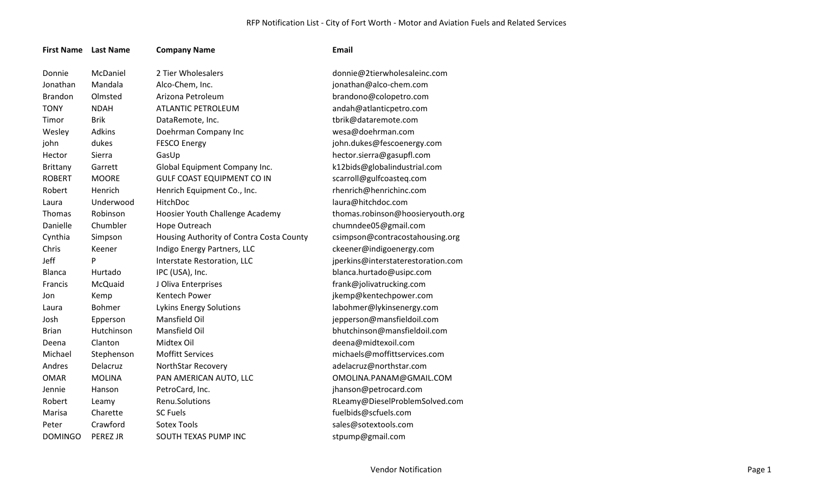## RFP Notification List - City of Fort Worth - Motor and Aviation Fuels and Related Services

| <b>First Name</b> | <b>Last Name</b> | <b>Company Name</b>                      | <b>Email</b>                       |
|-------------------|------------------|------------------------------------------|------------------------------------|
| Donnie            | McDaniel         | 2 Tier Wholesalers                       | donnie@2tierwholesaleinc.com       |
| Jonathan          | Mandala          | Alco-Chem, Inc.                          | jonathan@alco-chem.com             |
| <b>Brandon</b>    | Olmsted          | Arizona Petroleum                        | brandono@colopetro.com             |
| <b>TONY</b>       | <b>NDAH</b>      | <b>ATLANTIC PETROLEUM</b>                | andah@atlanticpetro.com            |
| Timor             | <b>Brik</b>      | DataRemote, Inc.                         | tbrik@dataremote.com               |
| Wesley            | <b>Adkins</b>    | Doehrman Company Inc                     | wesa@doehrman.com                  |
| john              | dukes            | <b>FESCO Energy</b>                      | john.dukes@fescoenergy.com         |
| Hector            | Sierra           | GasUp                                    | hector.sierra@gasupfl.com          |
| Brittany          | Garrett          | Global Equipment Company Inc.            | k12bids@globalindustrial.com       |
| <b>ROBERT</b>     | <b>MOORE</b>     | <b>GULF COAST EQUIPMENT CO IN</b>        | scarroll@gulfcoasteq.com           |
| Robert            | Henrich          | Henrich Equipment Co., Inc.              | rhenrich@henrichinc.com            |
| Laura             | Underwood        | HitchDoc                                 | laura@hitchdoc.com                 |
| Thomas            | Robinson         | Hoosier Youth Challenge Academy          | thomas.robinson@hoosieryouth.org   |
| Danielle          | Chumbler         | Hope Outreach                            | chumndee05@gmail.com               |
| Cynthia           | Simpson          | Housing Authority of Contra Costa County | csimpson@contracostahousing.org    |
| Chris             | Keener           | Indigo Energy Partners, LLC              | ckeener@indigoenergy.com           |
| Jeff              | P                | Interstate Restoration, LLC              | jperkins@interstaterestoration.com |
| Blanca            | Hurtado          | IPC (USA), Inc.                          | blanca.hurtado@usipc.com           |
| Francis           | McQuaid          | J Oliva Enterprises                      | frank@jolivatrucking.com           |
| Jon               | Kemp             | Kentech Power                            | jkemp@kentechpower.com             |
| Laura             | <b>Bohmer</b>    | <b>Lykins Energy Solutions</b>           | labohmer@lykinsenergy.com          |
| Josh              | Epperson         | Mansfield Oil                            | jepperson@mansfieldoil.com         |
| <b>Brian</b>      | Hutchinson       | Mansfield Oil                            | bhutchinson@mansfieldoil.com       |
| Deena             | Clanton          | Midtex Oil                               | deena@midtexoil.com                |
| Michael           | Stephenson       | <b>Moffitt Services</b>                  | michaels@moffittservices.com       |
| Andres            | Delacruz         | NorthStar Recovery                       | adelacruz@northstar.com            |
| <b>OMAR</b>       | <b>MOLINA</b>    | PAN AMERICAN AUTO, LLC                   | OMOLINA.PANAM@GMAIL.COM            |
| Jennie            | Hanson           | PetroCard, Inc.                          | jhanson@petrocard.com              |
| Robert            | Leamy            | Renu.Solutions                           | RLeamy@DieselProblemSolved.com     |
| Marisa            | Charette         | <b>SC Fuels</b>                          | fuelbids@scfuels.com               |
| Peter             | Crawford         | <b>Sotex Tools</b>                       | sales@sotextools.com               |
| <b>DOMINGO</b>    | PEREZ JR         | SOUTH TEXAS PUMP INC                     | stpump@gmail.com                   |